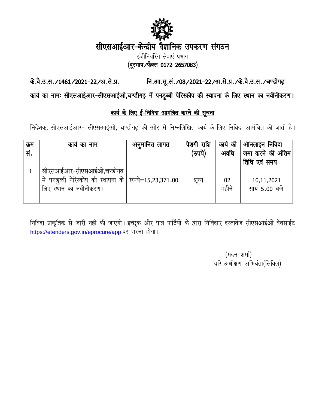

# सीएसआईआर-केन्द्रीय वैज्ञानिक उपकरण संगठन

इंजीनियरिंग सेवाएं प्रभाग (दूरभाष/फैक्स 0172-2657083)

नि.आ.सू.सं./08/2021-22/अ.से.प्र./के.वै.उ.स./चण्डीगढ़ के.वै.उ.स./1461/2021-22/अ.से.प्र.

कार्य का नामः सीएसआईआर-सीएसआईओ,चण्डीगढ़ में पनडुब्बी पेरिस्कोप की स्थापना के लिए स्थान का नवीनीकरण।

## कार्य के लिए ई-निविदा आमंत्रित करने की सूचना

निदेशक, सीएसआईआर- सीएसआईओ, चण्डीगढ की ओर से निम्नलिखित कार्य के लिए निविदा आमंत्रित की जाती है।

| क्रम<br>सं. | काय का नाम                                                                                                      | अनुमानित लागत | पेशगी राशि<br>(रुपये) | कार्य की<br>अवधि | ऑनलाइन निविदा<br>जमा करने की अंतिम <br>तिथि एवं समय |
|-------------|-----------------------------------------------------------------------------------------------------------------|---------------|-----------------------|------------------|-----------------------------------------------------|
|             | सीएसआईआर-सीएसआईओ,चण्डीगढ़<br>में पनड़ूब्बी पेरिस्कोप की स्थापना के स्पये=15,23,371.00<br>लिए स्थान का नवीनीकरण। |               | शून्य                 | 02<br>महीने      | 10,11,2021<br>सायं 5.00 बजे                         |

निविदा प्राकृतिक से जारी नही की जाएगी। इच्छुक और पात्र पार्टियों के द्वारा निविदाएं दस्तावेज सीएसआईओ वेबसाईट https://etenders.gov.in/eprocure/app पर भरना होगा।

> (मदन शर्मा) वरि.अधीक्षण अभियंता(सिविल)